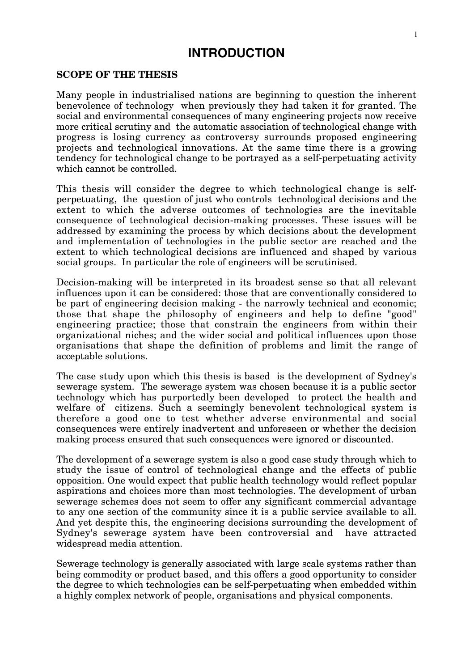# **INTRODUCTION**

# **SCOPE OF THE THESIS**

Many people in industrialised nations are beginning to question the inherent benevolence of technology when previously they had taken it for granted. The social and environmental consequences of many engineering projects now receive more critical scrutiny and the automatic association of technological change with progress is losing currency as controversy surrounds proposed engineering projects and technological innovations. At the same time there is a growing tendency for technological change to be portrayed as a self-perpetuating activity which cannot be controlled.

This thesis will consider the degree to which technological change is selfperpetuating, the question of just who controls technological decisions and the extent to which the adverse outcomes of technologies are the inevitable consequence of technological decision-making processes. These issues will be addressed by examining the process by which decisions about the development and implementation of technologies in the public sector are reached and the extent to which technological decisions are influenced and shaped by various social groups. In particular the role of engineers will be scrutinised.

Decision-making will be interpreted in its broadest sense so that all relevant influences upon it can be considered: those that are conventionally considered to be part of engineering decision making - the narrowly technical and economic; those that shape the philosophy of engineers and help to define "good" engineering practice; those that constrain the engineers from within their organizational niches; and the wider social and political influences upon those organisations that shape the definition of problems and limit the range of acceptable solutions.

The case study upon which this thesis is based is the development of Sydney's sewerage system. The sewerage system was chosen because it is a public sector technology which has purportedly been developed to protect the health and welfare of citizens. Such a seemingly benevolent technological system is therefore a good one to test whether adverse environmental and social consequences were entirely inadvertent and unforeseen or whether the decision making process ensured that such consequences were ignored or discounted.

The development of a sewerage system is also a good case study through which to study the issue of control of technological change and the effects of public opposition. One would expect that public health technology would reflect popular aspirations and choices more than most technologies. The development of urban sewerage schemes does not seem to offer any significant commercial advantage to any one section of the community since it is a public service available to all. And yet despite this, the engineering decisions surrounding the development of Sydney's sewerage system have been controversial and have attracted widespread media attention.

Sewerage technology is generally associated with large scale systems rather than being commodity or product based, and this offers a good opportunity to consider the degree to which technologies can be self-perpetuating when embedded within a highly complex network of people, organisations and physical components.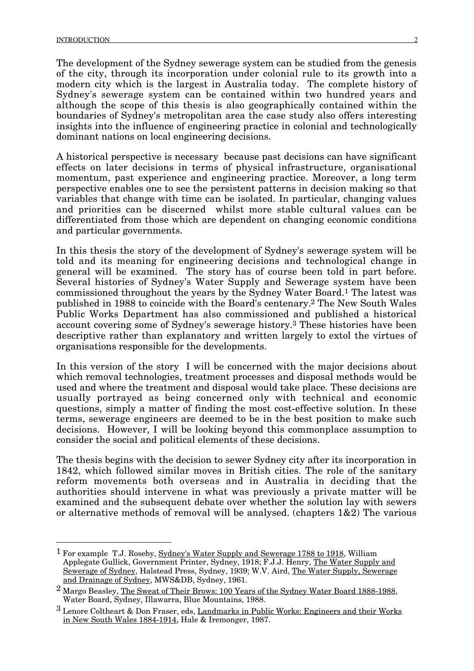The development of the Sydney sewerage system can be studied from the genesis of the city, through its incorporation under colonial rule to its growth into a modern city which is the largest in Australia today. The complete history of Sydney's sewerage system can be contained within two hundred years and although the scope of this thesis is also geographically contained within the boundaries of Sydney's metropolitan area the case study also offers interesting insights into the influence of engineering practice in colonial and technologically dominant nations on local engineering decisions.

A historical perspective is necessary because past decisions can have significant effects on later decisions in terms of physical infrastructure, organisational momentum, past experience and engineering practice. Moreover, a long term perspective enables one to see the persistent patterns in decision making so that variables that change with time can be isolated. In particular, changing values and priorities can be discerned whilst more stable cultural values can be differentiated from those which are dependent on changing economic conditions and particular governments.

In this thesis the story of the development of Sydney's sewerage system will be told and its meaning for engineering decisions and technological change in general will be examined. The story has of course been told in part before. Several histories of Sydney's Water Supply and Sewerage system have been commissioned throughout the years by the Sydney Water Board.1 The latest was published in 1988 to coincide with the Board's centenary.2 The New South Wales Public Works Department has also commissioned and published a historical account covering some of Sydney's sewerage history.3 These histories have been descriptive rather than explanatory and written largely to extol the virtues of organisations responsible for the developments.

In this version of the story I will be concerned with the major decisions about which removal technologies, treatment processes and disposal methods would be used and where the treatment and disposal would take place. These decisions are usually portrayed as being concerned only with technical and economic questions, simply a matter of finding the most cost-effective solution. In these terms, sewerage engineers are deemed to be in the best position to make such decisions. However, I will be looking beyond this commonplace assumption to consider the social and political elements of these decisions.

The thesis begins with the decision to sewer Sydney city after its incorporation in 1842, which followed similar moves in British cities. The role of the sanitary reform movements both overseas and in Australia in deciding that the authorities should intervene in what was previously a private matter will be examined and the subsequent debate over whether the solution lay with sewers or alternative methods of removal will be analysed. (chapters 1&2) The various

<sup>&</sup>lt;sup>1</sup> For example T.J. Roseby, Sydney's Water Supply and Sewerage 1788 to 1918, William Applegate Gullick, Government Printer, Sydney, 1918; F.J.J. Henry, The Water Supply and Sewerage of Sydney, Halstead Press, Sydney, 1939; W.V. Aird, The Water Supply, Sewerage and Drainage of Sydney, MWS&DB, Sydney, 1961.

<sup>&</sup>lt;sup>2</sup> Margo Beasley, The Sweat of Their Brows: 100 Years of the Sydney Water Board 1888-1988, Water Board, Sydney, Illawarra, Blue Mountains, 1988.

<sup>3</sup> Lenore Coltheart & Don Fraser, eds, Landmarks in Public Works: Engineers and their Works in New South Wales 1884-1914, Hale & Iremonger, 1987.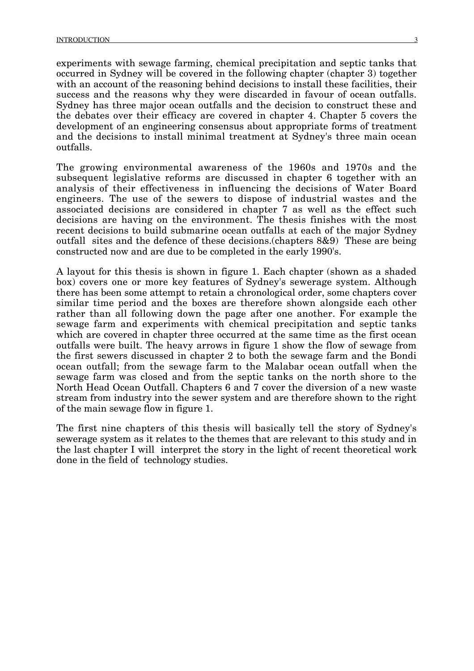experiments with sewage farming, chemical precipitation and septic tanks that occurred in Sydney will be covered in the following chapter (chapter 3) together with an account of the reasoning behind decisions to install these facilities, their success and the reasons why they were discarded in favour of ocean outfalls. Sydney has three major ocean outfalls and the decision to construct these and the debates over their efficacy are covered in chapter 4. Chapter 5 covers the development of an engineering consensus about appropriate forms of treatment and the decisions to install minimal treatment at Sydney's three main ocean outfalls.

The growing environmental awareness of the 1960s and 1970s and the subsequent legislative reforms are discussed in chapter 6 together with an analysis of their effectiveness in influencing the decisions of Water Board engineers. The use of the sewers to dispose of industrial wastes and the associated decisions are considered in chapter 7 as well as the effect such decisions are having on the environment. The thesis finishes with the most recent decisions to build submarine ocean outfalls at each of the major Sydney outfall sites and the defence of these decisions.(chapters 8&9) These are being constructed now and are due to be completed in the early 1990's.

A layout for this thesis is shown in figure 1. Each chapter (shown as a shaded box) covers one or more key features of Sydney's sewerage system. Although there has been some attempt to retain a chronological order, some chapters cover similar time period and the boxes are therefore shown alongside each other rather than all following down the page after one another. For example the sewage farm and experiments with chemical precipitation and septic tanks which are covered in chapter three occurred at the same time as the first ocean outfalls were built. The heavy arrows in figure 1 show the flow of sewage from the first sewers discussed in chapter 2 to both the sewage farm and the Bondi ocean outfall; from the sewage farm to the Malabar ocean outfall when the sewage farm was closed and from the septic tanks on the north shore to the North Head Ocean Outfall. Chapters 6 and 7 cover the diversion of a new waste stream from industry into the sewer system and are therefore shown to the right of the main sewage flow in figure 1.

The first nine chapters of this thesis will basically tell the story of Sydney's sewerage system as it relates to the themes that are relevant to this study and in the last chapter I will interpret the story in the light of recent theoretical work done in the field of technology studies.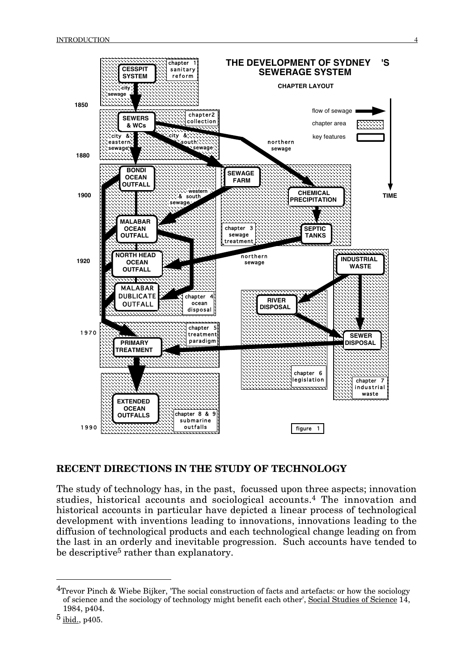

# **RECENT DIRECTIONS IN THE STUDY OF TECHNOLOGY**

The study of technology has, in the past, focussed upon three aspects; innovation studies, historical accounts and sociological accounts.4 The innovation and historical accounts in particular have depicted a linear process of technological development with inventions leading to innovations, innovations leading to the diffusion of technological products and each technological change leading on from the last in an orderly and inevitable progression. Such accounts have tended to be descriptive<sup>5</sup> rather than explanatory.

<sup>&</sup>lt;sup>4</sup>Trevor Pinch & Wiebe Bijker, 'The social construction of facts and artefacts: or how the sociology of science and the sociology of technology might benefit each other', Social Studies of Science 14, 1984, p404.

 $5$  ibid., p405.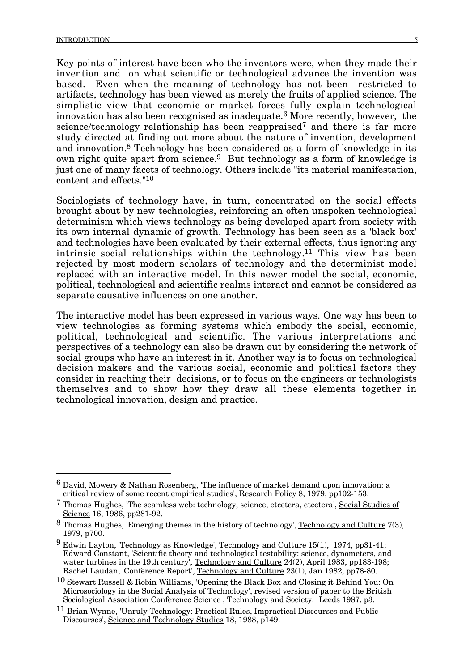Key points of interest have been who the inventors were, when they made their invention and on what scientific or technological advance the invention was based. Even when the meaning of technology has not been restricted to artifacts, technology has been viewed as merely the fruits of applied science. The simplistic view that economic or market forces fully explain technological innovation has also been recognised as inadequate.6 More recently, however, the science/technology relationship has been reappraised<sup>7</sup> and there is far more study directed at finding out more about the nature of invention, development and innovation.8 Technology has been considered as a form of knowledge in its own right quite apart from science.9 But technology as a form of knowledge is just one of many facets of technology. Others include "its material manifestation, content and effects."10

Sociologists of technology have, in turn, concentrated on the social effects brought about by new technologies, reinforcing an often unspoken technological determinism which views technology as being developed apart from society with its own internal dynamic of growth. Technology has been seen as a 'black box' and technologies have been evaluated by their external effects, thus ignoring any intrinsic social relationships within the technology.11 This view has been rejected by most modern scholars of technology and the determinist model replaced with an interactive model. In this newer model the social, economic, political, technological and scientific realms interact and cannot be considered as separate causative influences on one another.

The interactive model has been expressed in various ways. One way has been to view technologies as forming systems which embody the social, economic, political, technological and scientific. The various interpretations and perspectives of a technology can also be drawn out by considering the network of social groups who have an interest in it. Another way is to focus on technological decision makers and the various social, economic and political factors they consider in reaching their decisions, or to focus on the engineers or technologists themselves and to show how they draw all these elements together in technological innovation, design and practice.

 <sup>6</sup> David, Mowery & Nathan Rosenberg, 'The influence of market demand upon innovation: a critical review of some recent empirical studies', Research Policy 8, 1979, pp102-153.

<sup>7</sup> Thomas Hughes, 'The seamless web: technology, science, etcetera, etcetera', Social Studies of Science 16, 1986, pp281-92.

 $8$  Thomas Hughes, 'Emerging themes in the history of technology', Technology and Culture 7(3), 1979, p700.

<sup>9</sup> Edwin Layton, 'Technology as Knowledge', Technology and Culture 15(1), 1974, pp31-41; Edward Constant, 'Scientific theory and technological testability: science, dynometers, and water turbines in the 19th century', <u>Technology and Culture</u> 24(2), April 1983, pp183-198; Rachel Laudan, 'Conference Report', Technology and Culture 23(1), Jan 1982, pp78-80.

<sup>10</sup> Stewart Russell & Robin Williams, 'Opening the Black Box and Closing it Behind You: On Microsociology in the Social Analysis of Technology', revised version of paper to the British Sociological Association Conference Science , Technology and Society*,* Leeds 1987, p3.

<sup>11</sup> Brian Wynne, 'Unruly Technology: Practical Rules, Impractical Discourses and Public Discourses', Science and Technology Studies 18, 1988, p149.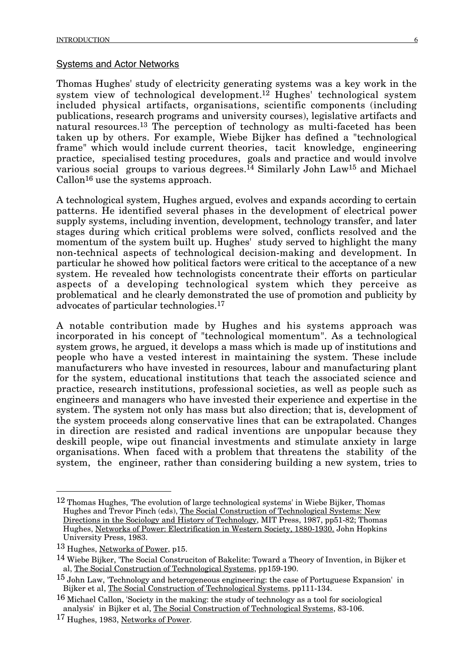#### Systems and Actor Networks

Thomas Hughes' study of electricity generating systems was a key work in the system view of technological development.<sup>12</sup> Hughes' technological system included physical artifacts, organisations, scientific components (including publications, research programs and university courses), legislative artifacts and natural resources.13 The perception of technology as multi-faceted has been taken up by others. For example, Wiebe Bijker has defined a "technological frame" which would include current theories, tacit knowledge, engineering practice, specialised testing procedures, goals and practice and would involve various social groups to various degrees.14 Similarly John Law15 and Michael Callon16 use the systems approach.

A technological system, Hughes argued, evolves and expands according to certain patterns. He identified several phases in the development of electrical power supply systems, including invention, development, technology transfer, and later stages during which critical problems were solved, conflicts resolved and the momentum of the system built up. Hughes' study served to highlight the many non-technical aspects of technological decision-making and development. In particular he showed how political factors were critical to the acceptance of a new system. He revealed how technologists concentrate their efforts on particular aspects of a developing technological system which they perceive as problematical and he clearly demonstrated the use of promotion and publicity by advocates of particular technologies.17

A notable contribution made by Hughes and his systems approach was incorporated in his concept of "technological momentum". As a technological system grows, he argued, it develops a mass which is made up of institutions and people who have a vested interest in maintaining the system. These include manufacturers who have invested in resources, labour and manufacturing plant for the system, educational institutions that teach the associated science and practice, research institutions, professional societies, as well as people such as engineers and managers who have invested their experience and expertise in the system. The system not only has mass but also direction; that is, development of the system proceeds along conservative lines that can be extrapolated. Changes in direction are resisted and radical inventions are unpopular because they deskill people, wipe out financial investments and stimulate anxiety in large organisations. When faced with a problem that threatens the stability of the system, the engineer, rather than considering building a new system, tries to

 <sup>12</sup> Thomas Hughes, 'The evolution of large technological systems' in Wiebe Bijker, Thomas Hughes and Trevor Pinch (eds), The Social Construction of Technological Systems: New Directions in the Sociology and History of Technology, MIT Press, 1987, pp51-82; Thomas Hughes, Networks of Power: Electrification in Western Society, 1880-1930. John Hopkins University Press, 1983.

<sup>13</sup> Hughes, Networks of Power, p15.

<sup>14</sup> Wiebe Bijker, 'The Social Construciton of Bakelite: Toward a Theory of Invention, in Bijker et al, The Social Construction of Technological Systems, pp159-190.

<sup>15</sup> John Law, 'Technology and heterogeneous engineering: the case of Portuguese Expansion' in Bijker et al, <u>The Social Construction of Technological Systems,</u> pp111-134.

<sup>16</sup> Michael Callon, 'Society in the making: the study of technology as a tool for sociological analysis' in Bijker et al, The Social Construction of Technological Systems, 83-106.

<sup>17</sup> Hughes, 1983, Networks of Power.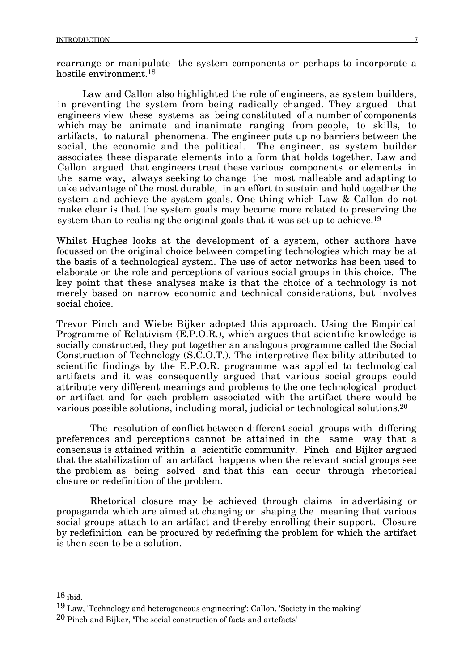rearrange or manipulate the system components or perhaps to incorporate a hostile environment.18

Law and Callon also highlighted the role of engineers, as system builders, in preventing the system from being radically changed. They argued that engineers view these systems as being constituted of a number of components which may be animate and inanimate ranging from people, to skills, to artifacts, to natural phenomena. The engineer puts up no barriers between the social, the economic and the political. The engineer, as system builder associates these disparate elements into a form that holds together. Law and Callon argued that engineers treat these various components or elements in the same way, always seeking to change the most malleable and adapting to take advantage of the most durable, in an effort to sustain and hold together the system and achieve the system goals. One thing which Law & Callon do not make clear is that the system goals may become more related to preserving the system than to realising the original goals that it was set up to achieve.<sup>19</sup>

Whilst Hughes looks at the development of a system, other authors have focussed on the original choice between competing technologies which may be at the basis of a technological system. The use of actor networks has been used to elaborate on the role and perceptions of various social groups in this choice. The key point that these analyses make is that the choice of a technology is not merely based on narrow economic and technical considerations, but involves social choice.

Trevor Pinch and Wiebe Bijker adopted this approach. Using the Empirical Programme of Relativism (E.P.O.R.), which argues that scientific knowledge is socially constructed, they put together an analogous programme called the Social Construction of Technology (S.C.O.T.). The interpretive flexibility attributed to scientific findings by the E.P.O.R. programme was applied to technological artifacts and it was consequently argued that various social groups could attribute very different meanings and problems to the one technological product or artifact and for each problem associated with the artifact there would be various possible solutions, including moral, judicial or technological solutions.20

The resolution of conflict between different social groups with differing preferences and perceptions cannot be attained in the same way that a consensus is attained within a scientific community. Pinch and Bijker argued that the stabilization of an artifact happens when the relevant social groups see the problem as being solved and that this can occur through rhetorical closure or redefinition of the problem.

Rhetorical closure may be achieved through claims in advertising or propaganda which are aimed at changing or shaping the meaning that various social groups attach to an artifact and thereby enrolling their support. Closure by redefinition can be procured by redefining the problem for which the artifact is then seen to be a solution.

 $18$  ibid.

<sup>19</sup> Law, 'Technology and heterogeneous engineering'; Callon, 'Society in the making'

<sup>20</sup> Pinch and Bijker, 'The social construction of facts and artefacts'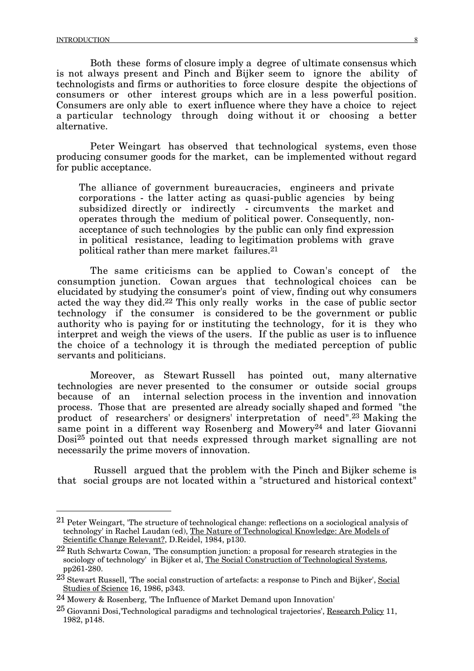Both these forms of closure imply a degree of ultimate consensus which is not always present and Pinch and Bijker seem to ignore the ability of technologists and firms or authorities to force closure despite the objections of consumers or other interest groups which are in a less powerful position. Consumers are only able to exert influence where they have a choice to reject a particular technology through doing without it or choosing a better alternative.

Peter Weingart has observed that technological systems, even those producing consumer goods for the market, can be implemented without regard for public acceptance.

The alliance of government bureaucracies, engineers and private corporations - the latter acting as quasi-public agencies by being subsidized directly or indirectly - circumvents the market and operates through the medium of political power. Consequently, nonacceptance of such technologies by the public can only find expression in political resistance, leading to legitimation problems with grave political rather than mere market failures.21

The same criticisms can be applied to Cowan's concept of the consumption junction. Cowan argues that technological choices can be elucidated by studying the consumer's point of view, finding out why consumers acted the way they did.22 This only really works in the case of public sector technology if the consumer is considered to be the government or public authority who is paying for or instituting the technology, for it is they who interpret and weigh the views of the users. If the public as user is to influence the choice of a technology it is through the mediated perception of public servants and politicians.

Moreover, as Stewart Russell has pointed out, many alternative technologies are never presented to the consumer or outside social groups because of an internal selection process in the invention and innovation process. Those that are presented are already socially shaped and formed "the product of researchers' or designers' interpretation of need".23 Making the same point in a different way Rosenberg and Mowery<sup>24</sup> and later Giovanni Dosi25 pointed out that needs expressed through market signalling are not necessarily the prime movers of innovation.

Russell argued that the problem with the Pinch and Bijker scheme is that social groups are not located within a "structured and historical context"

 <sup>21</sup> Peter Weingart, 'The structure of technological change: reflections on a sociological analysis of technology' in Rachel Laudan (ed), The Nature of Technological Knowledge: Are Models of Scientific Change Relevant?, D.Reidel, 1984, p130.

<sup>22</sup> Ruth Schwartz Cowan, 'The consumption junction: a proposal for research strategies in the sociology of technology' in Bijker et al, The Social Construction of Technological Systems, pp261-280.

<sup>23</sup> Stewart Russell, 'The social construction of artefacts: a response to Pinch and Bijker', Social Studies of Science 16, 1986, p343.

<sup>24</sup> Mowery & Rosenberg, 'The Influence of Market Demand upon Innovation'

 $^{25}$  Giovanni Dosi,'Technological paradigms and technological trajectories', Research Policy 11, 1982, p148.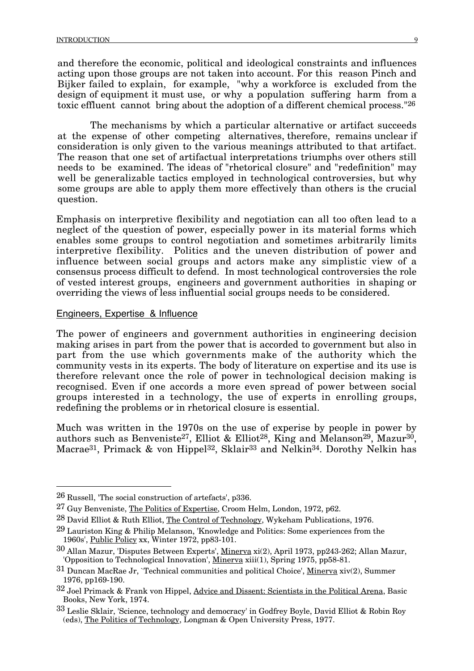and therefore the economic, political and ideological constraints and influences acting upon those groups are not taken into account. For this reason Pinch and Bijker failed to explain, for example, "why a workforce is excluded from the design of equipment it must use, or why a population suffering harm from a toxic effluent cannot bring about the adoption of a different chemical process."26

The mechanisms by which a particular alternative or artifact succeeds at the expense of other competing alternatives, therefore, remains unclear if consideration is only given to the various meanings attributed to that artifact. The reason that one set of artifactual interpretations triumphs over others still needs to be examined. The ideas of "rhetorical closure" and "redefinition" may well be generalizable tactics employed in technological controversies, but why some groups are able to apply them more effectively than others is the crucial question.

Emphasis on interpretive flexibility and negotiation can all too often lead to a neglect of the question of power, especially power in its material forms which enables some groups to control negotiation and sometimes arbitrarily limits interpretive flexibility. Politics and the uneven distribution of power and influence between social groups and actors make any simplistic view of a consensus process difficult to defend. In most technological controversies the role of vested interest groups, engineers and government authorities in shaping or overriding the views of less influential social groups needs to be considered.

### Engineers, Expertise & Influence

The power of engineers and government authorities in engineering decision making arises in part from the power that is accorded to government but also in part from the use which governments make of the authority which the community vests in its experts. The body of literature on expertise and its use is therefore relevant once the role of power in technological decision making is recognised. Even if one accords a more even spread of power between social groups interested in a technology, the use of experts in enrolling groups, redefining the problems or in rhetorical closure is essential.

Much was written in the 1970s on the use of experise by people in power by authors such as Benveniste<sup>27</sup>, Elliot & Elliot<sup>28</sup>, King and Melanson<sup>29</sup>, Mazur<sup>30</sup>, Macrae<sup>31</sup>, Primack & von Hippel<sup>32</sup>, Sklair<sup>33</sup> and Nelkin<sup>34</sup>. Dorothy Nelkin has

 <sup>26</sup> Russell, 'The social construction of artefacts', p336.

<sup>27</sup> Guy Benveniste, The Politics of Expertise, Croom Helm, London, 1972, p62.

<sup>28</sup> David Elliot & Ruth Elliot, The Control of Technology, Wykeham Publications, 1976.

<sup>29</sup> Lauriston King & Philip Melanson, 'Knowledge and Politics: Some experiences from the 1960s', Public Policy xx, Winter 1972, pp83-101.

<sup>30</sup> Allan Mazur, 'Disputes Between Experts', Minerva xi(2), April 1973, pp243-262; Allan Mazur, 'Opposition to Technological Innovation', <u>Minerva</u> xiii(1), Spring 1975, pp58-81.

<sup>31</sup> Duncan MacRae Jr, `Technical communities and political Choice', Minerva xiv(2), Summer 1976, pp169-190.

<sup>32</sup> Joel Primack & Frank von Hippel, Advice and Dissent: Scientists in the Political Arena, Basic Books, New York, 1974.

<sup>33</sup> Leslie Sklair, 'Science, technology and democracy' in Godfrey Boyle, David Elliot & Robin Roy (eds), The Politics of Technology, Longman & Open University Press, 1977.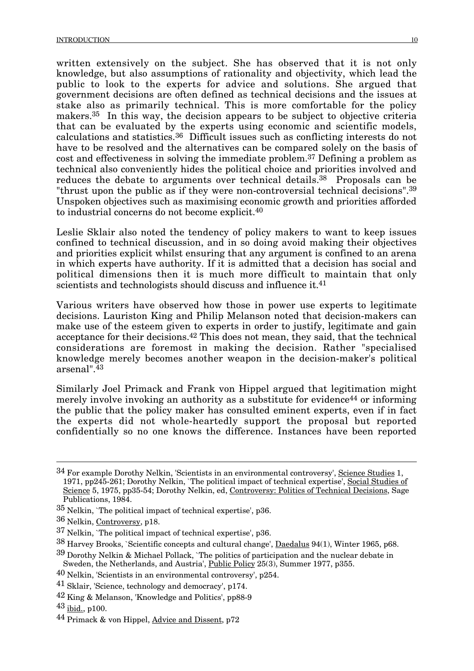written extensively on the subject. She has observed that it is not only knowledge, but also assumptions of rationality and objectivity, which lead the public to look to the experts for advice and solutions. She argued that government decisions are often defined as technical decisions and the issues at stake also as primarily technical. This is more comfortable for the policy makers.35 In this way, the decision appears to be subject to objective criteria that can be evaluated by the experts using economic and scientific models, calculations and statistics.36 Difficult issues such as conflicting interests do not have to be resolved and the alternatives can be compared solely on the basis of cost and effectiveness in solving the immediate problem.37 Defining a problem as technical also conveniently hides the political choice and priorities involved and reduces the debate to arguments over technical details.<sup>38</sup> Proposals can be "thrust upon the public as if they were non-controversial technical decisions".39 Unspoken objectives such as maximising economic growth and priorities afforded to industrial concerns do not become explicit.40

Leslie Sklair also noted the tendency of policy makers to want to keep issues confined to technical discussion, and in so doing avoid making their objectives and priorities explicit whilst ensuring that any argument is confined to an arena in which experts have authority. If it is admitted that a decision has social and political dimensions then it is much more difficult to maintain that only scientists and technologists should discuss and influence it.<sup>41</sup>

Various writers have observed how those in power use experts to legitimate decisions. Lauriston King and Philip Melanson noted that decision-makers can make use of the esteem given to experts in order to justify, legitimate and gain acceptance for their decisions.42 This does not mean, they said, that the technical considerations are foremost in making the decision. Rather "specialised knowledge merely becomes another weapon in the decision-maker's political arsenal".43

Similarly Joel Primack and Frank von Hippel argued that legitimation might merely involve invoking an authority as a substitute for evidence<sup>44</sup> or informing the public that the policy maker has consulted eminent experts, even if in fact the experts did not whole-heartedly support the proposal but reported confidentially so no one knows the difference. Instances have been reported

- 38 Harvey Brooks, `Scientific concepts and cultural change', Daedalus 94(1), Winter 1965, p68.
- $39$  Dorothy Nelkin & Michael Pollack, `The politics of participation and the nuclear debate in Sweden, the Netherlands, and Austria', <u>Public Policy</u> 25(3), Summer 1977, p355.
- 40 Nelkin, 'Scientists in an environmental controversy', p254.

 $34$  For example Dorothy Nelkin, 'Scientists in an environmental controversy', Science Studies 1, 1971, pp245-261; Dorothy Nelkin, `The political impact of technical expertise', Social Studies of Science 5, 1975, pp35-54; Dorothy Nelkin, ed, Controversy: Politics of Technical Decisions, Sage Publications, 1984.

<sup>35</sup> Nelkin, `The political impact of technical expertise', p36.

<sup>36</sup> Nelkin, Controversy, p18.

<sup>37</sup> Nelkin, `The political impact of technical expertise', p36.

<sup>41</sup> Sklair, 'Science, technology and democracy', p174.

<sup>42</sup> King & Melanson, 'Knowledge and Politics', pp88-9

<sup>43</sup> ibid., p100.

<sup>44</sup> Primack & von Hippel, Advice and Dissent, p72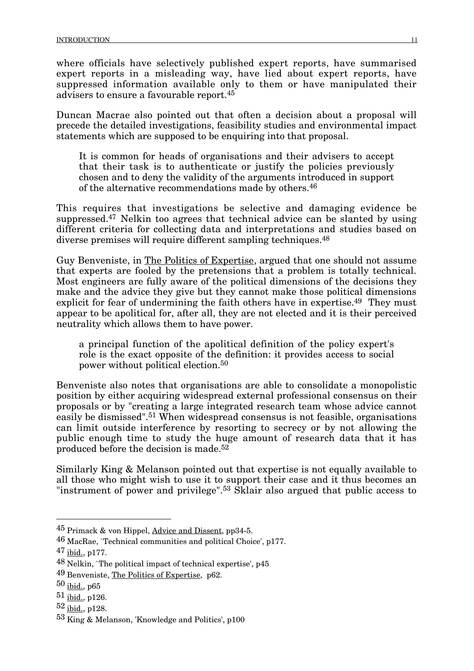where officials have selectively published expert reports, have summarised expert reports in a misleading way, have lied about expert reports, have suppressed information available only to them or have manipulated their advisers to ensure a favourable report.45

Duncan Macrae also pointed out that often a decision about a proposal will precede the detailed investigations, feasibility studies and environmental impact statements which are supposed to be enquiring into that proposal.

It is common for heads of organisations and their advisers to accept that their task is to authenticate or justify the policies previously chosen and to deny the validity of the arguments introduced in support of the alternative recommendations made by others.46

This requires that investigations be selective and damaging evidence be suppressed.47 Nelkin too agrees that technical advice can be slanted by using different criteria for collecting data and interpretations and studies based on diverse premises will require different sampling techniques.48

Guy Benveniste, in The Politics of Expertise, argued that one should not assume that experts are fooled by the pretensions that a problem is totally technical. Most engineers are fully aware of the political dimensions of the decisions they make and the advice they give but they cannot make those political dimensions explicit for fear of undermining the faith others have in expertise.<sup>49</sup> They must appear to be apolitical for, after all, they are not elected and it is their perceived neutrality which allows them to have power.

a principal function of the apolitical definition of the policy expert's role is the exact opposite of the definition: it provides access to social power without political election.50

Benveniste also notes that organisations are able to consolidate a monopolistic position by either acquiring widespread external professional consensus on their proposals or by "creating a large integrated research team whose advice cannot easily be dismissed".51 When widespread consensus is not feasible, organisations can limit outside interference by resorting to secrecy or by not allowing the public enough time to study the huge amount of research data that it has produced before the decision is made.52

Similarly King & Melanson pointed out that expertise is not equally available to all those who might wish to use it to support their case and it thus becomes an "instrument of power and privilege".53 Sklair also argued that public access to

 <sup>45</sup> Primack & von Hippel, Advice and Dissent, pp34-5.

<sup>46</sup> MacRae, `Technical communities and political Choice', p177.

<sup>47</sup> ibid., p177.

<sup>48</sup> Nelkin, `The political impact of technical expertise', p45

<sup>49</sup> Benveniste, The Politics of Expertise, p62.

<sup>50</sup> ibid., p65

<sup>51</sup> ibid., p126.

<sup>52</sup> ibid., p128.

<sup>53</sup> King & Melanson, 'Knowledge and Politics', p100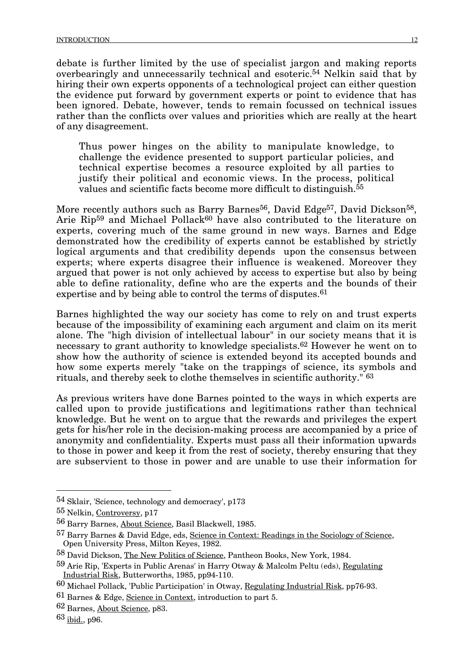debate is further limited by the use of specialist jargon and making reports overbearingly and unnecessarily technical and esoteric.54 Nelkin said that by hiring their own experts opponents of a technological project can either question the evidence put forward by government experts or point to evidence that has been ignored. Debate, however, tends to remain focussed on technical issues rather than the conflicts over values and priorities which are really at the heart of any disagreement.

Thus power hinges on the ability to manipulate knowledge, to challenge the evidence presented to support particular policies, and technical expertise becomes a resource exploited by all parties to justify their political and economic views. In the process, political values and scientific facts become more difficult to distinguish.<sup>55</sup>

More recently authors such as Barry Barnes<sup>56</sup>, David Edge<sup>57</sup>, David Dickson<sup>58</sup>, Arie Rip<sup>59</sup> and Michael Pollack<sup>60</sup> have also contributed to the literature on experts, covering much of the same ground in new ways. Barnes and Edge demonstrated how the credibility of experts cannot be established by strictly logical arguments and that credibility depends upon the consensus between experts; where experts disagree their influence is weakened. Moreover they argued that power is not only achieved by access to expertise but also by being able to define rationality, define who are the experts and the bounds of their expertise and by being able to control the terms of disputes.<sup>61</sup>

Barnes highlighted the way our society has come to rely on and trust experts because of the impossibility of examining each argument and claim on its merit alone. The "high division of intellectual labour" in our society means that it is necessary to grant authority to knowledge specialists.62 However he went on to show how the authority of science is extended beyond its accepted bounds and how some experts merely "take on the trappings of science, its symbols and rituals, and thereby seek to clothe themselves in scientific authority." 63

As previous writers have done Barnes pointed to the ways in which experts are called upon to provide justifications and legitimations rather than technical knowledge. But he went on to argue that the rewards and privileges the expert gets for his/her role in the decision-making process are accompanied by a price of anonymity and confidentiality. Experts must pass all their information upwards to those in power and keep it from the rest of society, thereby ensuring that they are subservient to those in power and are unable to use their information for

62 Barnes, About Science, p83.

 <sup>54</sup> Sklair, 'Science, technology and democracy', p173

<sup>55</sup> Nelkin, Controversy, p17

<sup>56</sup> Barry Barnes, About Science, Basil Blackwell, 1985.

<sup>57</sup> Barry Barnes & David Edge, eds, Science in Context: Readings in the Sociology of Science, Open University Press, Milton Keyes, 1982.

<sup>58</sup> David Dickson, The New Politics of Science, Pantheon Books, New York, 1984.

<sup>59</sup> Arie Rip, 'Experts in Public Arenas' in Harry Otway & Malcolm Peltu (eds), Regulating Industrial Risk, Butterworths, 1985, pp94-110.

<sup>60</sup> Michael Pollack, 'Public Participation' in Otway, Regulating Industrial Risk, pp76-93.

<sup>61</sup> Barnes & Edge, Science in Context, introduction to part 5.

<sup>63</sup> ibid., p96.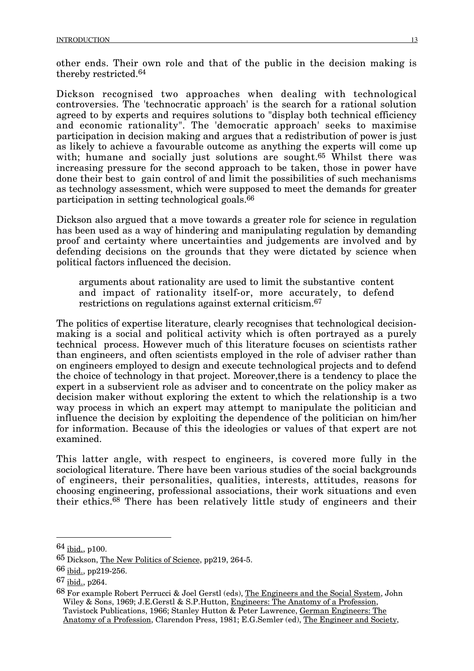other ends. Their own role and that of the public in the decision making is thereby restricted.64

Dickson recognised two approaches when dealing with technological controversies. The 'technocratic approach' is the search for a rational solution agreed to by experts and requires solutions to "display both technical efficiency and economic rationality". The 'democratic approach' seeks to maximise participation in decision making and argues that a redistribution of power is just as likely to achieve a favourable outcome as anything the experts will come up with; humane and socially just solutions are sought.<sup>65</sup> Whilst there was increasing pressure for the second approach to be taken, those in power have done their best to gain control of and limit the possibilities of such mechanisms as technology assessment, which were supposed to meet the demands for greater participation in setting technological goals.66

Dickson also argued that a move towards a greater role for science in regulation has been used as a way of hindering and manipulating regulation by demanding proof and certainty where uncertainties and judgements are involved and by defending decisions on the grounds that they were dictated by science when political factors influenced the decision.

arguments about rationality are used to limit the substantive content and impact of rationality itself-or, more accurately, to defend restrictions on regulations against external criticism.67

The politics of expertise literature, clearly recognises that technological decisionmaking is a social and political activity which is often portrayed as a purely technical process. However much of this literature focuses on scientists rather than engineers, and often scientists employed in the role of adviser rather than on engineers employed to design and execute technological projects and to defend the choice of technology in that project. Moreover,there is a tendency to place the expert in a subservient role as adviser and to concentrate on the policy maker as decision maker without exploring the extent to which the relationship is a two way process in which an expert may attempt to manipulate the politician and influence the decision by exploiting the dependence of the politician on him/her for information. Because of this the ideologies or values of that expert are not examined.

This latter angle, with respect to engineers, is covered more fully in the sociological literature. There have been various studies of the social backgrounds of engineers, their personalities, qualities, interests, attitudes, reasons for choosing engineering, professional associations, their work situations and even their ethics.68 There has been relatively little study of engineers and their

 <sup>64</sup> ibid., p100.

<sup>65</sup> Dickson, The New Politics of Science, pp219, 264-5.

<sup>66</sup> ibid., pp219-256.

<sup>67</sup> ibid., p264.

<sup>68</sup> For example Robert Perrucci & Joel Gerstl (eds), The Engineers and the Social System, John Wiley & Sons, 1969; J.E.Gerstl & S.P.Hutton, Engineers: The Anatomy of a Profession, Tavistock Publications, 1966; Stanley Hutton & Peter Lawrence, German Engineers: The Anatomy of a Profession, Clarendon Press, 1981; E.G.Semler (ed), The Engineer and Society,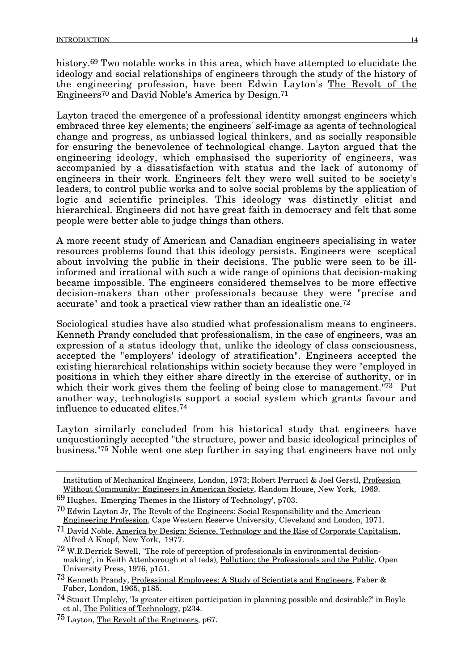history.<sup>69</sup> Two notable works in this area, which have attempted to elucidate the ideology and social relationships of engineers through the study of the history of the engineering profession, have been Edwin Layton's The Revolt of the Engineers70 and David Noble's America by Design.71

Layton traced the emergence of a professional identity amongst engineers which embraced three key elements; the engineers' self-image as agents of technological change and progress, as unbiassed logical thinkers, and as socially responsible for ensuring the benevolence of technological change. Layton argued that the engineering ideology, which emphasised the superiority of engineers, was accompanied by a dissatisfaction with status and the lack of autonomy of engineers in their work. Engineers felt they were well suited to be society's leaders, to control public works and to solve social problems by the application of logic and scientific principles. This ideology was distinctly elitist and hierarchical. Engineers did not have great faith in democracy and felt that some people were better able to judge things than others.

A more recent study of American and Canadian engineers specialising in water resources problems found that this ideology persists. Engineers were sceptical about involving the public in their decisions. The public were seen to be illinformed and irrational with such a wide range of opinions that decision-making became impossible. The engineers considered themselves to be more effective decision-makers than other professionals because they were "precise and accurate" and took a practical view rather than an idealistic one.72

Sociological studies have also studied what professionalism means to engineers. Kenneth Prandy concluded that professionalism, in the case of engineers, was an expression of a status ideology that, unlike the ideology of class consciousness, accepted the "employers' ideology of stratification". Engineers accepted the existing hierarchical relationships within society because they were "employed in positions in which they either share directly in the exercise of authority, or in which their work gives them the feeling of being close to management.<sup>"73</sup> Put another way, technologists support a social system which grants favour and influence to educated elites.74

Layton similarly concluded from his historical study that engineers have unquestioningly accepted "the structure, power and basic ideological principles of business."75 Noble went one step further in saying that engineers have not only

69 Hughes, 'Emerging Themes in the History of Technology', p703.

73 Kenneth Prandy, Professional Employees: A Study of Scientists and Engineers, Faber & Faber, London, 1965, p185.

Institution of Mechanical Engineers, London, 1973; Robert Perrucci & Joel Gerstl, Profession Without Community: Engineers in American Society, Random House, New York, 1969.

<sup>70</sup> Edwin Layton Jr, The Revolt of the Engineers: Social Responsibility and the American Engineering Profession, Cape Western Reserve University, Cleveland and London, 1971.

<sup>&</sup>lt;sup>71</sup> David Noble, America by Design: Science, Technology and the Rise of Corporate Capitalism, Alfred A Knopf, New York, 1977.

<sup>72</sup> W.R.Derrick Sewell, `The role of perception of professionals in environmental decisionmaking', in Keith Attenborough et al (eds), Pollution: the Professionals and the Public, Open University Press, 1976, p151.

<sup>74</sup> Stuart Umpleby, 'Is greater citizen participation in planning possible and desirable?' in Boyle et al, The Politics of Technology, p234.

<sup>75</sup> Layton, The Revolt of the Engineers, p67.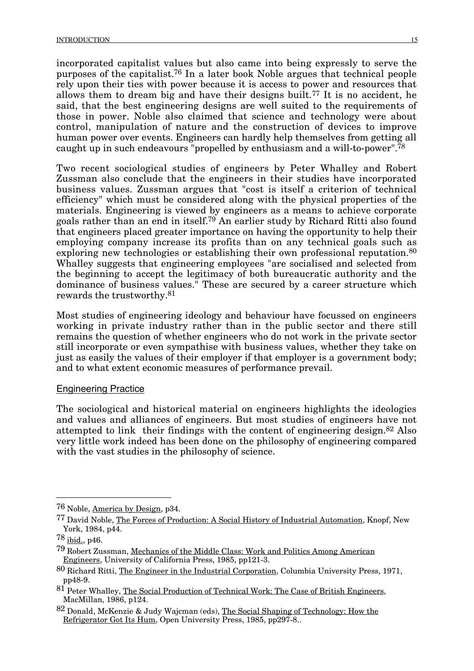incorporated capitalist values but also came into being expressly to serve the purposes of the capitalist.76 In a later book Noble argues that technical people rely upon their ties with power because it is access to power and resources that allows them to dream big and have their designs built.77 It is no accident, he said, that the best engineering designs are well suited to the requirements of those in power. Noble also claimed that science and technology were about control, manipulation of nature and the construction of devices to improve human power over events. Engineers can hardly help themselves from getting all caught up in such endeavours "propelled by enthusiasm and a will-to-power".78

Two recent sociological studies of engineers by Peter Whalley and Robert Zussman also conclude that the engineers in their studies have incorporated business values. Zussman argues that "cost is itself a criterion of technical efficiency" which must be considered along with the physical properties of the materials. Engineering is viewed by engineers as a means to achieve corporate goals rather than an end in itself.79 An earlier study by Richard Ritti also found that engineers placed greater importance on having the opportunity to help their employing company increase its profits than on any technical goals such as exploring new technologies or establishing their own professional reputation.<sup>80</sup> Whalley suggests that engineering employees "are socialised and selected from the beginning to accept the legitimacy of both bureaucratic authority and the dominance of business values." These are secured by a career structure which rewards the trustworthy.81

Most studies of engineering ideology and behaviour have focussed on engineers working in private industry rather than in the public sector and there still remains the question of whether engineers who do not work in the private sector still incorporate or even sympathise with business values, whether they take on just as easily the values of their employer if that employer is a government body; and to what extent economic measures of performance prevail.

#### Engineering Practice

The sociological and historical material on engineers highlights the ideologies and values and alliances of engineers. But most studies of engineers have not attempted to link their findings with the content of engineering design.82 Also very little work indeed has been done on the philosophy of engineering compared with the vast studies in the philosophy of science.

 <sup>76</sup> Noble, America by Design, p34.

<sup>77</sup> David Noble, The Forces of Production: A Social History of Industrial Automation, Knopf, New York, 1984, p44.

 $78$  ibid., p46.

<sup>79</sup> Robert Zussman, Mechanics of the Middle Class: Work and Politics Among American Engineers, University of California Press, 1985, pp121-3.

<sup>80</sup> Richard Ritti, The Engineer in the Industrial Corporation, Columbia University Press, 1971, pp48-9.

<sup>81</sup> Peter Whalley, The Social Production of Technical Work: The Case of British Engineers, MacMillan, 1986, p124.

<sup>82</sup> Donald, McKenzie & Judy Wajcman (eds), The Social Shaping of Technology: How the Refrigerator Got Its Hum, Open University Press, 1985, pp297-8..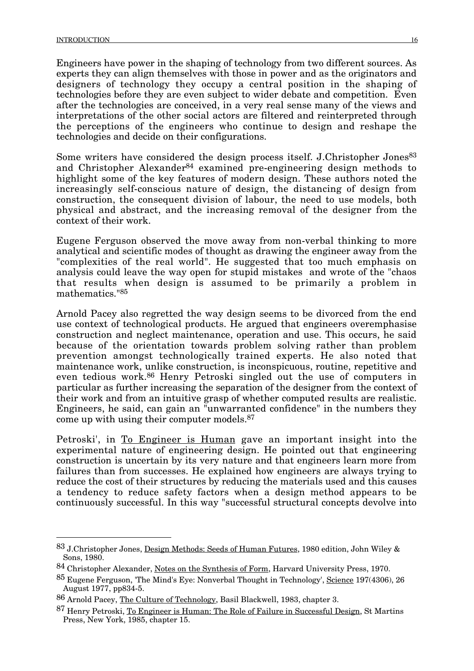Engineers have power in the shaping of technology from two different sources. As experts they can align themselves with those in power and as the originators and designers of technology they occupy a central position in the shaping of technologies before they are even subject to wider debate and competition. Even after the technologies are conceived, in a very real sense many of the views and interpretations of the other social actors are filtered and reinterpreted through the perceptions of the engineers who continue to design and reshape the technologies and decide on their configurations.

Some writers have considered the design process itself. J.Christopher Jones<sup>83</sup> and Christopher Alexander<sup>84</sup> examined pre-engineering design methods to highlight some of the key features of modern design. These authors noted the increasingly self-conscious nature of design, the distancing of design from construction, the consequent division of labour, the need to use models, both physical and abstract, and the increasing removal of the designer from the context of their work.

Eugene Ferguson observed the move away from non-verbal thinking to more analytical and scientific modes of thought as drawing the engineer away from the "complexities of the real world". He suggested that too much emphasis on analysis could leave the way open for stupid mistakes and wrote of the "chaos that results when design is assumed to be primarily a problem in mathematics."85

Arnold Pacey also regretted the way design seems to be divorced from the end use context of technological products. He argued that engineers overemphasise construction and neglect maintenance, operation and use. This occurs, he said because of the orientation towards problem solving rather than problem prevention amongst technologically trained experts. He also noted that maintenance work, unlike construction, is inconspicuous, routine, repetitive and even tedious work.86 Henry Petroski singled out the use of computers in particular as further increasing the separation of the designer from the context of their work and from an intuitive grasp of whether computed results are realistic. Engineers, he said, can gain an "unwarranted confidence" in the numbers they come up with using their computer models.87

Petroski', in To Engineer is Human gave an important insight into the experimental nature of engineering design. He pointed out that engineering construction is uncertain by its very nature and that engineers learn more from failures than from successes. He explained how engineers are always trying to reduce the cost of their structures by reducing the materials used and this causes a tendency to reduce safety factors when a design method appears to be continuously successful. In this way "successful structural concepts devolve into

 <sup>83</sup> J.Christopher Jones, Design Methods: Seeds of Human Futures, 1980 edition, John Wiley & Sons, 1980.

<sup>84</sup> Christopher Alexander, Notes on the Synthesis of Form, Harvard University Press, 1970.

<sup>85</sup> Eugene Ferguson, 'The Mind's Eye: Nonverbal Thought in Technology', Science 197(4306), 26 August 1977, pp834-5.

<sup>86</sup> Arnold Pacey, The Culture of Technology, Basil Blackwell, 1983, chapter 3.

<sup>87</sup> Henry Petroski, To Engineer is Human: The Role of Failure in Successful Design, St Martins Press, New York, 1985, chapter 15.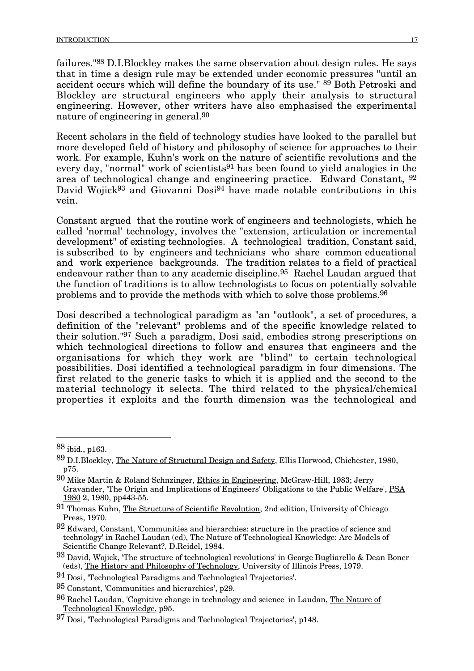failures."88 D.I.Blockley makes the same observation about design rules. He says that in time a design rule may be extended under economic pressures "until an accident occurs which will define the boundary of its use." <sup>89</sup> Both Petroski and Blockley are structural engineers who apply their analysis to structural engineering. However, other writers have also emphasised the experimental nature of engineering in general.90

Recent scholars in the field of technology studies have looked to the parallel but more developed field of history and philosophy of science for approaches to their work. For example, Kuhn's work on the nature of scientific revolutions and the every day, "normal" work of scientists<sup>91</sup> has been found to yield analogies in the area of technological change and engineering practice. Edward Constant, 92 David Wojick<sup>93</sup> and Giovanni Dosi<sup>94</sup> have made notable contributions in this vein.

Constant argued that the routine work of engineers and technologists, which he called 'normal' technology, involves the "extension, articulation or incremental development" of existing technologies. A technological tradition, Constant said, is subscribed to by engineers and technicians who share common educational and work experience backgrounds. The tradition relates to a field of practical endeavour rather than to any academic discipline.<sup>95</sup> Rachel Laudan argued that the function of traditions is to allow technologists to focus on potentially solvable problems and to provide the methods with which to solve those problems.96

Dosi described a technological paradigm as "an "outlook", a set of procedures, a definition of the "relevant" problems and of the specific knowledge related to their solution."97 Such a paradigm, Dosi said, embodies strong prescriptions on which technological directions to follow and ensures that engineers and the organisations for which they work are "blind" to certain technological possibilities. Dosi identified a technological paradigm in four dimensions. The first related to the generic tasks to which it is applied and the second to the material technology it selects. The third related to the physical/chemical properties it exploits and the fourth dimension was the technological and

 $88$  ibid., p163.

<sup>89</sup> D.I.Blockley, The Nature of Structural Design and Safety, Ellis Horwood, Chichester, 1980, p75.

<sup>90</sup> Mike Martin & Roland Schnzinger, Ethics in Engineering, McGraw-Hill, 1983; Jerry Gravander, 'The Origin and Implications of Engineers' Obligations to the Public Welfare', PSA 1980 2, 1980, pp443-55.

<sup>91</sup> Thomas Kuhn, The Structure of Scientific Revolution, 2nd edition, University of Chicago Press, 1970.

<sup>92</sup> Edward, Constant, 'Communities and hierarchies: structure in the practice of science and technology' in Rachel Laudan (ed), The Nature of Technological Knowledge: Are Models of Scientific Change Relevant?, D.Reidel, 1984.

<sup>93</sup> David, Wojick, 'The structure of technological revolutions' in George Bugliarello & Dean Boner (eds), The History and Philosophy of Technology, University of Illinois Press, 1979.

<sup>94</sup> Dosi, 'Technological Paradigms and Technological Trajectories'.

<sup>95</sup> Constant, 'Communities and hierarchies', p29.

<sup>96</sup> Rachel Laudan, 'Cognitive change in technology and science' in Laudan, The Nature of Technological Knowledge, p95.

<sup>97</sup> Dosi, 'Technological Paradigms and Technological Trajectories', p148.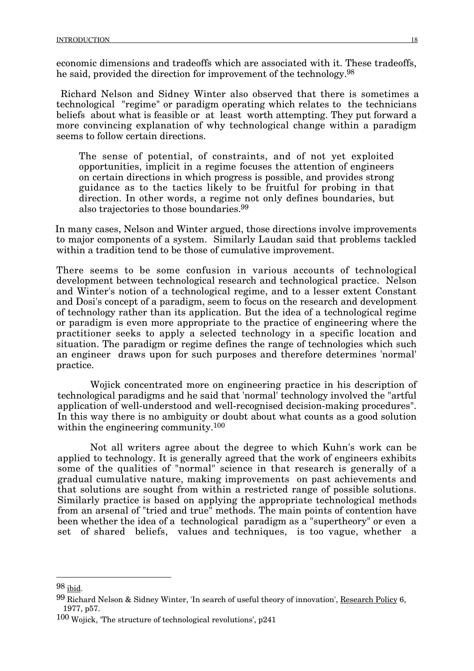economic dimensions and tradeoffs which are associated with it. These tradeoffs, he said, provided the direction for improvement of the technology.98

Richard Nelson and Sidney Winter also observed that there is sometimes a technological "regime" or paradigm operating which relates to the technicians beliefs about what is feasible or at least worth attempting. They put forward a more convincing explanation of why technological change within a paradigm seems to follow certain directions.

The sense of potential, of constraints, and of not yet exploited opportunities, implicit in a regime focuses the attention of engineers on certain directions in which progress is possible, and provides strong guidance as to the tactics likely to be fruitful for probing in that direction. In other words, a regime not only defines boundaries, but also trajectories to those boundaries.99

In many cases, Nelson and Winter argued, those directions involve improvements to major components of a system. Similarly Laudan said that problems tackled within a tradition tend to be those of cumulative improvement.

There seems to be some confusion in various accounts of technological development between technological research and technological practice. Nelson and Winter's notion of a technological regime, and to a lesser extent Constant and Dosi's concept of a paradigm, seem to focus on the research and development of technology rather than its application. But the idea of a technological regime or paradigm is even more appropriate to the practice of engineering where the practitioner seeks to apply a selected technology in a specific location and situation. The paradigm or regime defines the range of technologies which such an engineer draws upon for such purposes and therefore determines 'normal' practice.

Wojick concentrated more on engineering practice in his description of technological paradigms and he said that 'normal' technology involved the "artful application of well-understood and well-recognised decision-making procedures". In this way there is no ambiguity or doubt about what counts as a good solution within the engineering community.<sup>100</sup>

Not all writers agree about the degree to which Kuhn's work can be applied to technology. It is generally agreed that the work of engineers exhibits some of the qualities of "normal" science in that research is generally of a gradual cumulative nature, making improvements on past achievements and that solutions are sought from within a restricted range of possible solutions. Similarly practice is based on applying the appropriate technological methods from an arsenal of "tried and true" methods. The main points of contention have been whether the idea of a technological paradigm as a "supertheory" or even a set of shared beliefs, values and techniques, is too vague, whether a

 <sup>98</sup> ibid.

<sup>99</sup> Richard Nelson & Sidney Winter, 'In search of useful theory of innovation', Research Policy 6, 1977, p57.

<sup>100</sup> Wojick, 'The structure of technological revolutions', p241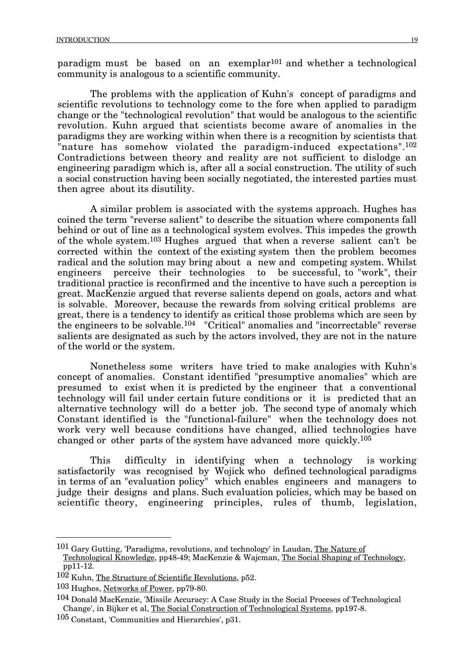paradigm must be based on an exemplar<sup>101</sup> and whether a technological community is analogous to a scientific community.

The problems with the application of Kuhn's concept of paradigms and scientific revolutions to technology come to the fore when applied to paradigm change or the "technological revolution" that would be analogous to the scientific revolution. Kuhn argued that scientists become aware of anomalies in the paradigms they are working within when there is a recognition by scientists that "nature has somehow violated the paradigm-induced expectations".<sup>102</sup> Contradictions between theory and reality are not sufficient to dislodge an engineering paradigm which is, after all a social construction. The utility of such a social construction having been socially negotiated, the interested parties must then agree about its disutility.

A similar problem is associated with the systems approach. Hughes has coined the term "reverse salient" to describe the situation where components fall behind or out of line as a technological system evolves. This impedes the growth of the whole system.103 Hughes argued that when a reverse salient can't be corrected within the context of the existing system then the problem becomes radical and the solution may bring about a new and competing system. Whilst engineers perceive their technologies to be successful, to "work", their traditional practice is reconfirmed and the incentive to have such a perception is great. MacKenzie argued that reverse salients depend on goals, actors and what is solvable. Moreover, because the rewards from solving critical problems are great, there is a tendency to identify as critical those problems which are seen by the engineers to be solvable.104 "Critical" anomalies and "incorrectable" reverse salients are designated as such by the actors involved, they are not in the nature of the world or the system.

Nonetheless some writers have tried to make analogies with Kuhn's concept of anomalies. Constant identified "presumptive anomalies" which are presumed to exist when it is predicted by the engineer that a conventional technology will fail under certain future conditions or it is predicted that an alternative technology will do a better job. The second type of anomaly which Constant identified is the "functional-failure" when the technology does not work very well because conditions have changed, allied technologies have changed or other parts of the system have advanced more quickly.105

This difficulty in identifying when a technology is working satisfactorily was recognised by Wojick who defined technological paradigms in terms of an "evaluation policy" which enables engineers and managers to judge their designs and plans. Such evaluation policies, which may be based on scientific theory, engineering principles, rules of thumb, legislation,

 <sup>101</sup> Gary Gutting, 'Paradigms, revolutions, and technology' in Laudan, The Nature of

Technological Knowledge, pp48-49; MacKenzie & Wajcman, The Social Shaping of Technology, pp11-12.

<sup>102</sup> Kuhn, The Structure of Scientific Revolutions, p52.

<sup>103</sup> Hughes, Networks of Power, pp79-80.

<sup>104</sup> Donald MacKenzie, 'Missile Accuracy: A Case Study in the Social Proceses of Technological Change', in Bijker et al, The Social Construction of Technological Systems, pp197-8.

<sup>105</sup> Constant, 'Communities and Hierarchies', p31.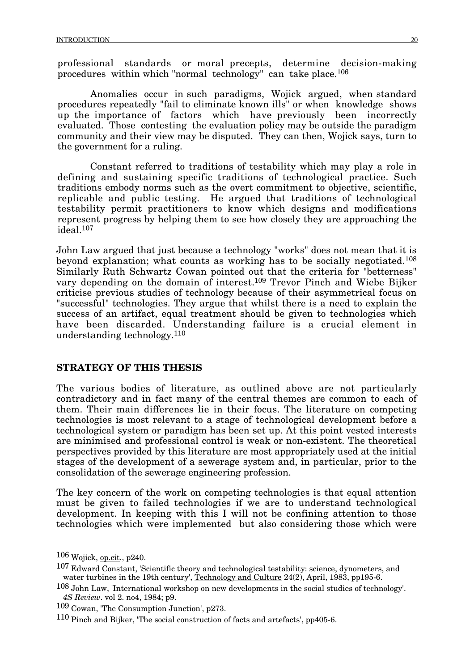professional standards or moral precepts, determine decision-making procedures within which "normal technology" can take place.106

Anomalies occur in such paradigms, Wojick argued, when standard procedures repeatedly "fail to eliminate known ills" or when knowledge shows up the importance of factors which have previously been incorrectly evaluated. Those contesting the evaluation policy may be outside the paradigm community and their view may be disputed. They can then, Wojick says, turn to the government for a ruling.

Constant referred to traditions of testability which may play a role in defining and sustaining specific traditions of technological practice. Such traditions embody norms such as the overt commitment to objective, scientific, replicable and public testing. He argued that traditions of technological testability permit practitioners to know which designs and modifications represent progress by helping them to see how closely they are approaching the ideal.107

John Law argued that just because a technology "works" does not mean that it is beyond explanation; what counts as working has to be socially negotiated.108 Similarly Ruth Schwartz Cowan pointed out that the criteria for "betterness" vary depending on the domain of interest.109 Trevor Pinch and Wiebe Bijker criticise previous studies of technology because of their asymmetrical focus on "successful" technologies. They argue that whilst there is a need to explain the success of an artifact, equal treatment should be given to technologies which have been discarded. Understanding failure is a crucial element in understanding technology.110

## **STRATEGY OF THIS THESIS**

The various bodies of literature, as outlined above are not particularly contradictory and in fact many of the central themes are common to each of them. Their main differences lie in their focus. The literature on competing technologies is most relevant to a stage of technological development before a technological system or paradigm has been set up. At this point vested interests are minimised and professional control is weak or non-existent. The theoretical perspectives provided by this literature are most appropriately used at the initial stages of the development of a sewerage system and, in particular, prior to the consolidation of the sewerage engineering profession.

The key concern of the work on competing technologies is that equal attention must be given to failed technologies if we are to understand technological development. In keeping with this I will not be confining attention to those technologies which were implemented but also considering those which were

 <sup>106</sup> Wojick, op.cit., p240.

<sup>107</sup> Edward Constant, 'Scientific theory and technological testability: science, dynometers, and water turbines in the 19th century', Technology and Culture 24(2), April, 1983, pp195-6.

<sup>108</sup> John Law, 'International workshop on new developments in the social studies of technology'. *4S Review*. vol 2. no4, 1984; p9.

<sup>109</sup> Cowan, 'The Consumption Junction', p273.

<sup>110</sup> Pinch and Bijker, 'The social construction of facts and artefacts', pp405-6.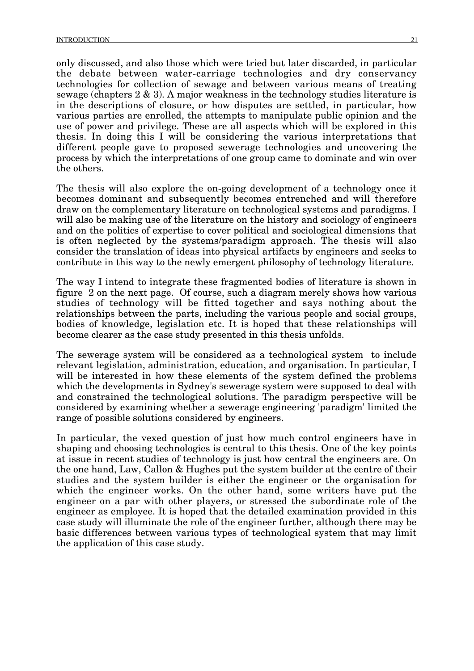only discussed, and also those which were tried but later discarded, in particular the debate between water-carriage technologies and dry conservancy technologies for collection of sewage and between various means of treating sewage (chapters 2 & 3). A major weakness in the technology studies literature is in the descriptions of closure, or how disputes are settled, in particular, how various parties are enrolled, the attempts to manipulate public opinion and the use of power and privilege. These are all aspects which will be explored in this thesis. In doing this I will be considering the various interpretations that different people gave to proposed sewerage technologies and uncovering the process by which the interpretations of one group came to dominate and win over the others.

The thesis will also explore the on-going development of a technology once it becomes dominant and subsequently becomes entrenched and will therefore draw on the complementary literature on technological systems and paradigms. I will also be making use of the literature on the history and sociology of engineers and on the politics of expertise to cover political and sociological dimensions that is often neglected by the systems/paradigm approach. The thesis will also consider the translation of ideas into physical artifacts by engineers and seeks to contribute in this way to the newly emergent philosophy of technology literature.

The way I intend to integrate these fragmented bodies of literature is shown in figure 2 on the next page. Of course, such a diagram merely shows how various studies of technology will be fitted together and says nothing about the relationships between the parts, including the various people and social groups, bodies of knowledge, legislation etc. It is hoped that these relationships will become clearer as the case study presented in this thesis unfolds.

The sewerage system will be considered as a technological system to include relevant legislation, administration, education, and organisation. In particular, I will be interested in how these elements of the system defined the problems which the developments in Sydney's sewerage system were supposed to deal with and constrained the technological solutions. The paradigm perspective will be considered by examining whether a sewerage engineering 'paradigm' limited the range of possible solutions considered by engineers.

In particular, the vexed question of just how much control engineers have in shaping and choosing technologies is central to this thesis. One of the key points at issue in recent studies of technology is just how central the engineers are. On the one hand, Law, Callon & Hughes put the system builder at the centre of their studies and the system builder is either the engineer or the organisation for which the engineer works. On the other hand, some writers have put the engineer on a par with other players, or stressed the subordinate role of the engineer as employee. It is hoped that the detailed examination provided in this case study will illuminate the role of the engineer further, although there may be basic differences between various types of technological system that may limit the application of this case study.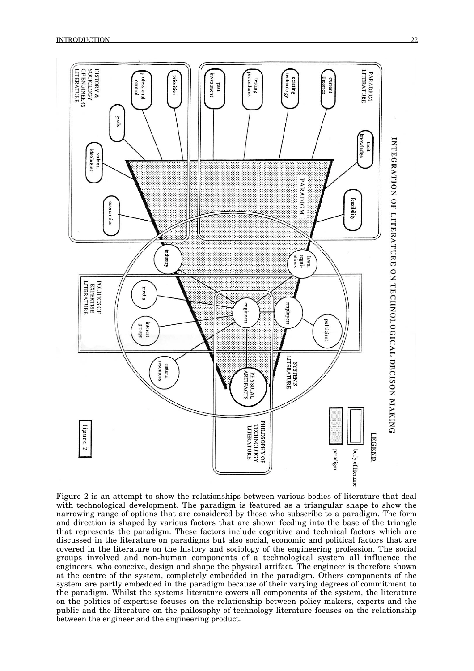

Figure 2 is an attempt to show the relationships between various bodies of literature that deal with technological development. The paradigm is featured as a triangular shape to show the narrowing range of options that are considered by those who subscribe to a paradigm. The form and direction is shaped by various factors that are shown feeding into the base of the triangle that represents the paradigm. These factors include cognitive and technical factors which are discussed in the literature on paradigms but also social, economic and political factors that are covered in the literature on the history and sociology of the engineering profession. The social groups involved and non-human components of a technological system all influence the engineers, who conceive, design and shape the physical artifact. The engineer is therefore shown at the centre of the system, completely embedded in the paradigm. Others components of the system are partly embedded in the paradigm because of their varying degrees of commitment to the paradigm. Whilst the systems literature covers all components of the system, the literature on the politics of expertise focuses on the relationship between policy makers, experts and the public and the literature on the philosophy of technology literature focuses on the relationship between the engineer and the engineering product.